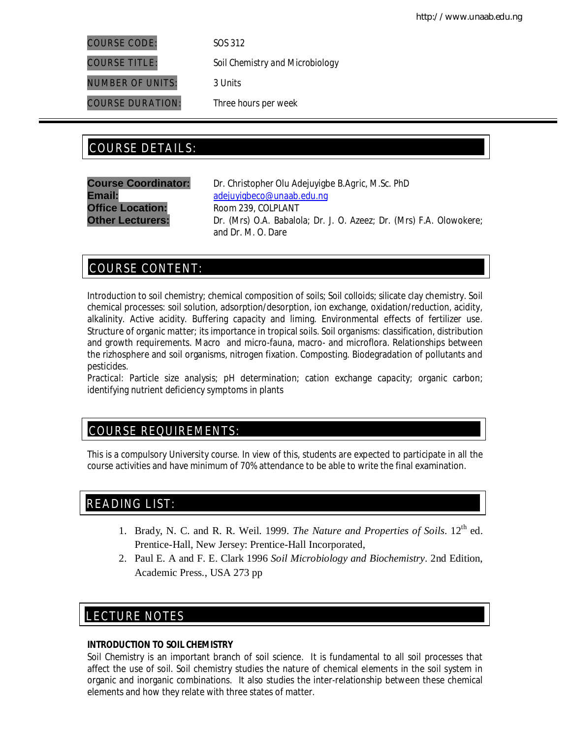COURSE CODE: *SOS 312*

NUMBER OF UNITS: *3 Units*

COURSE TITLE: *Soil Chemistry and Microbiology*

COURSE DURATION: *Three hours per week*

# COURSE DETAILS: COURSE DETAILS:

**Office Location:** Room 239, COLPLANT

**Course Coordinator:** Dr. Christopher Olu Adejuyigbe *B.Agric, M.Sc. PhD* Email: adejuyigbeco@unaab.edu.ng **Other Lecturers:** Dr. (Mrs) O.A. Babalola; Dr. J. O. Azeez; Dr. (Mrs) F.A. Olowokere; and Dr. M. O. Dare

# COURSE CONTENT:

Introduction to soil chemistry; chemical composition of soils; Soil colloids; silicate clay chemistry. Soil chemical processes: soil solution, adsorption/desorption, ion exchange, oxidation/reduction, acidity, alkalinity. Active acidity. Buffering capacity and liming. Environmental effects of fertilizer use. Structure of organic matter; its importance in tropical soils. Soil organisms: classification, distribution and growth requirements. Macro and micro-fauna, macro- and microflora. Relationships between the rizhosphere and soil organisms, nitrogen fixation. Composting. Biodegradation of pollutants and pesticides.

*Practical:* Particle size analysis; pH determination; cation exchange capacity; organic carbon; identifying nutrient deficiency symptoms in plants

# COURSE REQUIREMENTS:

This is a compulsory University course. In view of this, students are expected to participate in all the course activities and have minimum of 70% attendance to be able to write the final examination.

# READING LIST:

- 1. Brady, N. C. and R. R. Weil. 1999. *The Nature and Properties of Soils*. 12th ed. Prentice-Hall, New Jersey: Prentice-Hall Incorporated,
- 2. Paul E. A and F. E. Clark 1996 *Soil Microbiology and Biochemistry*. 2nd Edition, Academic Press., USA 273 pp

# LECTURE NOTES

E

## **INTRODUCTION TO SOIL CHEMISTRY**

Soil Chemistry is an important branch of soil science. It is fundamental to all soil processes that affect the use of soil. Soil chemistry studies the nature of chemical elements in the soil system in organic and inorganic combinations. It also studies the inter-relationship between these chemical elements and how they relate with three states of matter.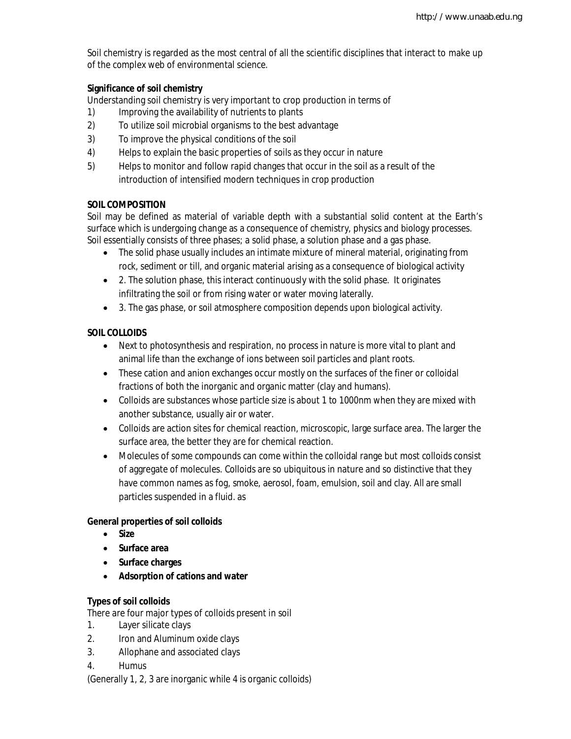Soil chemistry is regarded as the most central of all the scientific disciplines that interact to make up of the complex web of environmental science.

## **Significance of soil chemistry**

Understanding soil chemistry is very important to crop production in terms of

- 1) Improving the availability of nutrients to plants
- 2) To utilize soil microbial organisms to the best advantage
- 3) To improve the physical conditions of the soil
- 4) Helps to explain the basic properties of soils as they occur in nature
- 5) Helps to monitor and follow rapid changes that occur in the soil as a result of the introduction of intensified modern techniques in crop production

## **SOIL COMPOSITION**

Soil may be defined as material of variable depth with a substantial solid content at the Earth's surface which is undergoing change as a consequence of chemistry, physics and biology processes. Soil essentially consists of three phases; a solid phase, a solution phase and a gas phase.

- The solid phase usually includes an intimate mixture of mineral material, originating from rock, sediment or till, and organic material arising as a consequence of biological activity
- 2. The solution phase, this interact continuously with the solid phase. It originates infiltrating the soil or from rising water or water moving laterally.
- 3. The gas phase, or soil atmosphere composition depends upon biological activity.

## **SOIL COLLOIDS**

- Next to photosynthesis and respiration, no process in nature is more vital to plant and animal life than the exchange of ions between soil particles and plant roots.
- These cation and anion exchanges occur mostly on the surfaces of the finer or colloidal fractions of both the inorganic and organic matter (clay and humans).
- Colloids are substances whose particle size is about 1 to 1000nm when they are mixed with another substance, usually air or water.
- Colloids are action sites for chemical reaction, microscopic, large surface area. The larger the surface area, the better they are for chemical reaction.
- Molecules of some compounds can come within the colloidal range but most colloids consist of aggregate of molecules. Colloids are so ubiquitous in nature and so distinctive that they have common names as fog, smoke, aerosol, foam, emulsion, soil and clay. All are small particles suspended in a fluid. as

## **General properties of soil colloids**

- **Size**
- **Surface area**
- **Surface charges**
- **Adsorption of cations and water**

## **Types of soil colloids**

There are four major types of colloids present in soil

- 1. Layer silicate clays
- 2. Iron and Aluminum oxide clays
- 3. Allophane and associated clays
- 4. Humus

(Generally 1, 2, 3 are inorganic while 4 is organic colloids)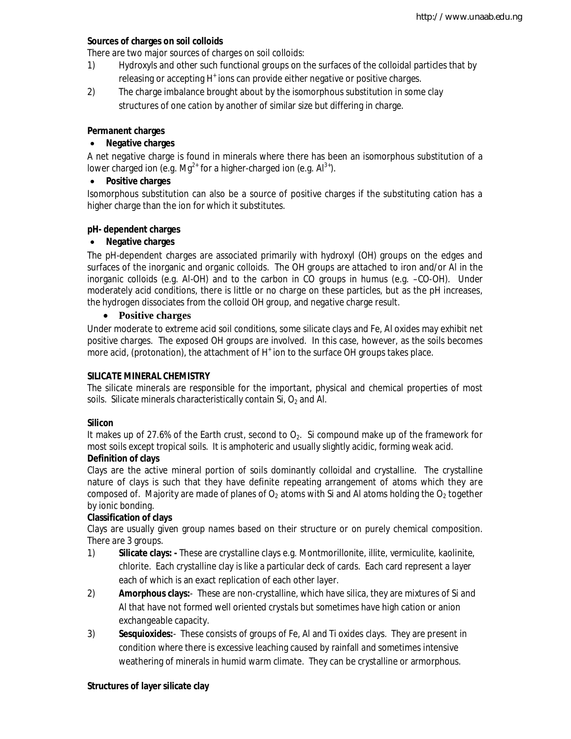## **Sources of charges on soil colloids**

There are two major sources of charges on soil colloids:

- 1) Hydroxyls and other such functional groups on the surfaces of the colloidal particles that by releasing or accepting H<sup>+</sup> ions can provide either negative or positive charges.
- 2) The charge imbalance brought about by the isomorphous substitution in some clay structures of one cation by another of similar size but differing in charge.

## **Permanent charges**

## **Negative charges**

A net negative charge is found in minerals where there has been an isomorphous substitution of a lower charged ion (e.g.  $Mq^{2+}$  for a higher-charged ion (e.g.  $Al^{3+}$ ).

## **Positive charges**

Isomorphous substitution can also be a source of positive charges if the substituting cation has a higher charge than the ion for which it substitutes.

## **pH- dependent charges**

## **Negative charges**

The pH-dependent charges are associated primarily with hydroxyl (OH) groups on the edges and surfaces of the inorganic and organic colloids. The OH groups are attached to iron and/or Al in the inorganic colloids (e.g. Al-OH) and to the carbon in CO groups in humus (e.g. –CO-OH). Under moderately acid conditions, there is little or no charge on these particles, but as the pH increases, the hydrogen dissociates from the colloid OH group, and negative charge result.

## **Positive charges**

Under moderate to extreme acid soil conditions, some silicate clays and Fe, Al oxides may exhibit net positive charges. The exposed OH groups are involved. In this case, however, as the soils becomes more acid, (protonation), the attachment of H<sup>+</sup> ion to the surface OH groups takes place.

#### **SILICATE MINERAL CHEMISTRY**

The silicate minerals are responsible for the important, physical and chemical properties of most soils. Silicate minerals characteristically contain Si,  $O_2$  and Al.

#### **Silicon**

It makes up of 27.6% of the Earth crust, second to  $O<sub>2</sub>$ . Si compound make up of the framework for most soils except tropical soils. It is amphoteric and usually slightly acidic, forming weak acid.

#### **Definition of clays**

Clays are the active mineral portion of soils dominantly colloidal and crystalline. The crystalline nature of clays is such that they have definite repeating arrangement of atoms which they are composed of. Majority are made of planes of  $O<sub>2</sub>$  atoms with Si and Al atoms holding the  $O<sub>2</sub>$  together by ionic bonding.

#### **Classification of clays**

Clays are usually given group names based on their structure or on purely chemical composition. There are 3 groups.

- 1) **Silicate clays: -** These are crystalline clays e.g. Montmorillonite, illite, vermiculite, kaolinite, chlorite. Each crystalline clay is like a particular deck of cards. Each card represent a layer each of which is an exact replication of each other layer.
- 2) **Amorphous clays:**-These are non-crystalline, which have silica, they are mixtures of Si and Al that have not formed well oriented crystals but sometimes have high cation or anion exchangeable capacity.
- 3) **Sesquioxides:**-These consists of groups of Fe, Al and Ti oxides clays. They are present in condition where there is excessive leaching caused by rainfall and sometimes intensive weathering of minerals in humid warm climate. They can be crystalline or armorphous.

#### **Structures of layer silicate clay**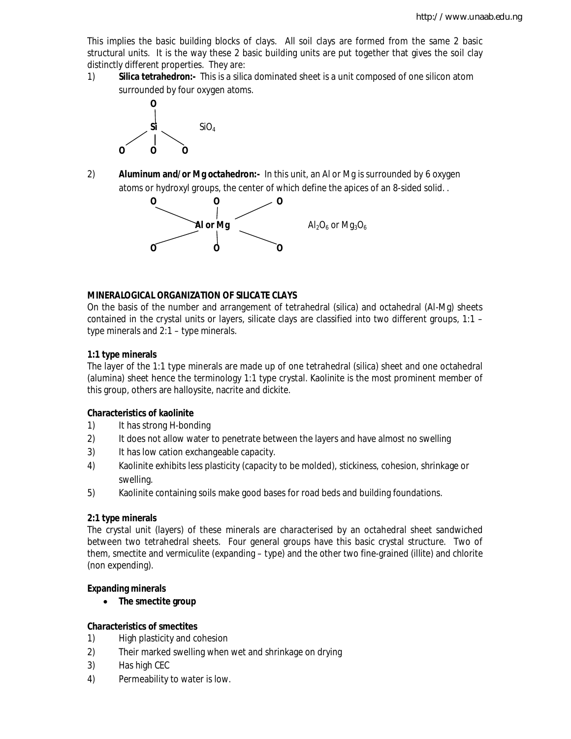This implies the basic building blocks of clays. All soil clays are formed from the same 2 basic structural units. It is the way these 2 basic building units are put together that gives the soil clay distinctly different properties. They are:

1) **Silica tetrahedron:-** This is a silica dominated sheet is a unit composed of one silicon atom surrounded by four oxygen atoms.



2) **Aluminum and/or Mg octahedron:-** In this unit, an Al or Mg is surrounded by 6 oxygen atoms or hydroxyl groups, the center of which define the apices of an 8-sided solid. .



## **MINERALOGICAL ORGANIZATION OF SILICATE CLAYS**

On the basis of the number and arrangement of tetrahedral (silica) and octahedral (Al-Mg) sheets contained in the crystal units or layers, silicate clays are classified into two different groups, 1:1 – type minerals and 2:1 – type minerals.

## **1:1 type minerals**

The layer of the 1:1 type minerals are made up of one tetrahedral (silica) sheet and one octahedral (alumina) sheet hence the terminology 1:1 type crystal. Kaolinite is the most prominent member of this group, others are halloysite, nacrite and dickite.

## **Characteristics of kaolinite**

- 1) It has strong H-bonding
- 2) It does not allow water to penetrate between the layers and have almost no swelling
- 3) It has low cation exchangeable capacity.
- 4) Kaolinite exhibits less plasticity (capacity to be molded), stickiness, cohesion, shrinkage or swelling.
- 5) Kaolinite containing soils make good bases for road beds and building foundations.

## **2:1 type minerals**

The crystal unit (layers) of these minerals are characterised by an octahedral sheet sandwiched between two tetrahedral sheets. Four general groups have this basic crystal structure. Two of them, smectite and vermiculite (expanding – type) and the other two fine-grained (illite) and chlorite (non expending).

#### **Expanding minerals**

**The smectite group**

#### **Characteristics of smectites**

- 1) High plasticity and cohesion
- 2) Their marked swelling when wet and shrinkage on drying
- 3) Has high CEC
- 4) Permeability to water is low.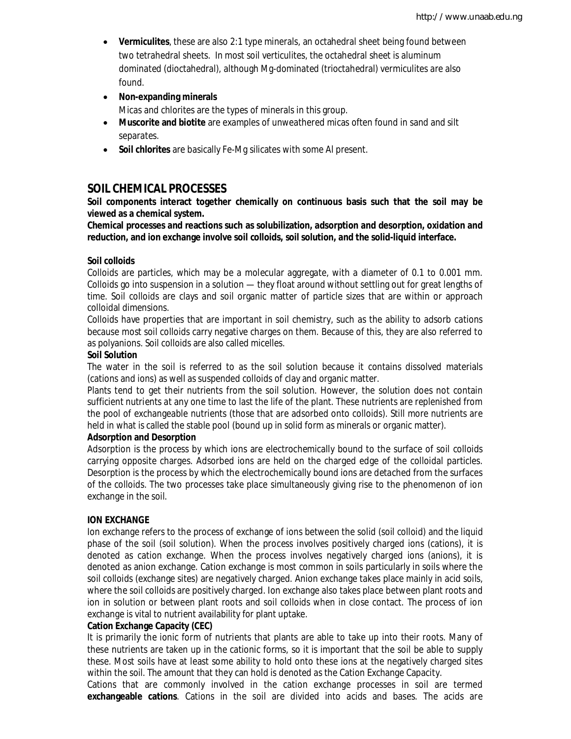- **Vermiculites**, these are also 2:1 type minerals, an octahedral sheet being found between two tetrahedral sheets. In most soil verticulites, the octahedral sheet is aluminum dominated (dioctahedral), although Mg-dominated (trioctahedral) vermiculites are also found.
- **Non-expanding minerals**

Micas and chlorites are the types of minerals in this group.

- **Muscorite and biotite** are examples of unweathered micas often found in sand and silt separates.
- **Soil chlorites** are basically Fe-Mg silicates with some Al present.

## **SOIL CHEMICAL PROCESSES**

**Soil components interact together chemically on continuous basis such that the soil may be viewed as a chemical system.**

**Chemical processes and reactions such as solubilization, adsorption and desorption, oxidation and reduction, and ion exchange involve soil colloids, soil solution, and the solid-liquid interface.**

#### **Soil colloids**

Colloids are particles, which may be a molecular aggregate, with a diameter of 0.1 to 0.001 mm. Colloids go into suspension in a solution — they float around without settling out for great lengths of time. Soil colloids are clays and soil organic matter of particle sizes that are within or approach colloidal dimensions.

Colloids have properties that are important in soil chemistry, such as the ability to adsorb cations because most soil colloids carry negative charges on them. Because of this, they are also referred to as polyanions. Soil colloids are also called micelles.

#### **Soil Solution**

The water in the soil is referred to as the soil solution because it contains dissolved materials (cations and ions) as well as suspended colloids of clay and organic matter.

Plants tend to get their nutrients from the soil solution. However, the solution does not contain sufficient nutrients at any one time to last the life of the plant. These nutrients are replenished from the pool of exchangeable nutrients (those that are adsorbed onto colloids). Still more nutrients are held in what is called the stable pool (bound up in solid form as minerals or organic matter).

#### **Adsorption and Desorption**

Adsorption is the process by which ions are electrochemically bound to the surface of soil colloids carrying opposite charges. Adsorbed ions are held on the charged edge of the colloidal particles. Desorption is the process by which the electrochemically bound ions are detached from the surfaces of the colloids. The two processes take place simultaneously giving rise to the phenomenon of ion exchange in the soil.

#### **ION EXCHANGE**

Ion exchange refers to the process of exchange of ions between the solid (soil colloid) and the liquid phase of the soil (soil solution). When the process involves positively charged ions (cations), it is denoted as cation exchange. When the process involves negatively charged ions (anions), it is denoted as anion exchange. Cation exchange is most common in soils particularly in soils where the soil colloids (exchange sites) are negatively charged. Anion exchange takes place mainly in acid soils, where the soil colloids are positively charged. Ion exchange also takes place between plant roots and ion in solution or between plant roots and soil colloids when in close contact. The process of ion exchange is vital to nutrient availability for plant uptake.

#### **Cation Exchange Capacity (CEC)**

It is primarily the ionic form of nutrients that plants are able to take up into their roots. Many of these nutrients are taken up in the cationic forms, so it is important that the soil be able to supply these. Most soils have at least some ability to hold onto these ions at the negatively charged sites within the soil. The amount that they can hold is denoted as the Cation Exchange Capacity.

Cations that are commonly involved in the cation exchange processes in soil are termed **exchangeable cations**. Cations in the soil are divided into acids and bases. The acids are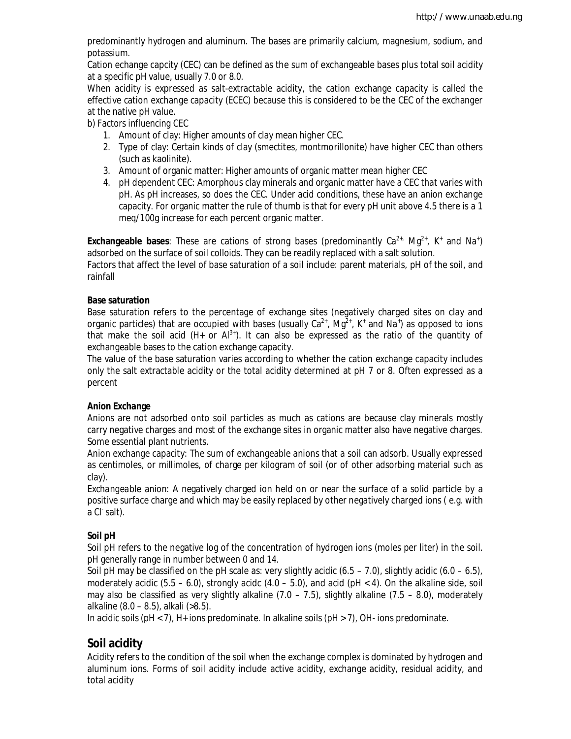predominantly hydrogen and aluminum. The bases are primarily calcium, magnesium, sodium, and potassium.

Cation echange capcity (CEC) can be defined as the sum of exchangeable bases plus total soil acidity at a specific pH value, usually 7.0 or 8.0.

When acidity is expressed as salt-extractable acidity, the cation exchange capacity is called the effective cation exchange capacity (ECEC) because this is considered to be the CEC of the exchanger at the native pH value.

b) *Factors influencing CEC*

- 1. Amount of clay: Higher amounts of clay mean higher CEC.
- 2. Type of clay: Certain kinds of clay (smectites, montmorillonite) have higher CEC than others (such as kaolinite).
- 3. Amount of organic matter: Higher amounts of organic matter mean higher CEC
- 4. pH dependent CEC: Amorphous clay minerals and organic matter have a CEC that varies with pH. As pH increases, so does the CEC. Under acid conditions, these have an anion exchange capacity. For organic matter the rule of thumb is that for every pH unit above 4.5 there is a 1 meq/100g increase for each percent organic matter.

**Exchangeable bases**: These are cations of strong bases (predominantly  $Ca^{2+}$ , Mg<sup>2+</sup>, K<sup>+</sup> and Na<sup>+</sup>) adsorbed on the surface of soil colloids. They can be readily replaced with a salt solution.

Factors that affect the level of base saturation of a soil include: parent materials, pH of the soil, and rainfall

#### **Base saturation**

Base saturation refers to the percentage of exchange sites (negatively charged sites on clay and organic particles) that are occupied with bases (usually  $Ca^{2+}$ , Mg<sup>2+</sup>, K<sup>+</sup> and Na<sup>+</sup>) as opposed to ions that make the soil acid (H+ or  $Al^{3+}$ ). It can also be expressed as the ratio of the quantity of exchangeable bases to the cation exchange capacity.

The value of the base saturation varies according to whether the cation exchange capacity includes only the salt extractable acidity or the total acidity determined at pH 7 or 8. Often expressed as a percent

#### **Anion Exchange**

Anions are not adsorbed onto soil particles as much as cations are because clay minerals mostly carry negative charges and most of the exchange sites in organic matter also have negative charges. Some essential plant nutrients.

Anion exchange capacity: The sum of exchangeable anions that a soil can adsorb. Usually expressed as centimoles, or millimoles, of charge per kilogram of soil (or of other adsorbing material such as clay).

*Exchangeable anion:* A negatively charged ion held on or near the surface of a solid particle by a positive surface charge and which may be easily replaced by other negatively charged ions ( e.g. with a Cl<sup>-</sup>salt).

## **Soil pH**

Soil pH refers to the negative log of the concentration of hydrogen ions (moles per liter) in the soil. pH generally range in number between 0 and 14.

Soil pH may be classified on the pH scale as: very slightly acidic  $(6.5 - 7.0)$ , slightly acidic  $(6.0 - 6.5)$ , moderately acidic  $(5.5 - 6.0)$ , strongly acidc  $(4.0 - 5.0)$ , and acid  $(pH < 4)$ . On the alkaline side, soil may also be classified as very slightly alkaline  $(7.0 - 7.5)$ , slightly alkaline  $(7.5 - 8.0)$ , moderately alkaline (8.0 – 8.5), alkali (>8.5).

In acidic soils ( $pH < 7$ ),  $H<sub>+</sub>$  ions predominate. In alkaline soils ( $pH > 7$ ), OH- ions predominate.

## **Soil acidity**

Acidity refers to the condition of the soil when the exchange complex is dominated by hydrogen and aluminum ions. Forms of soil acidity include active acidity, exchange acidity, residual acidity, and total acidity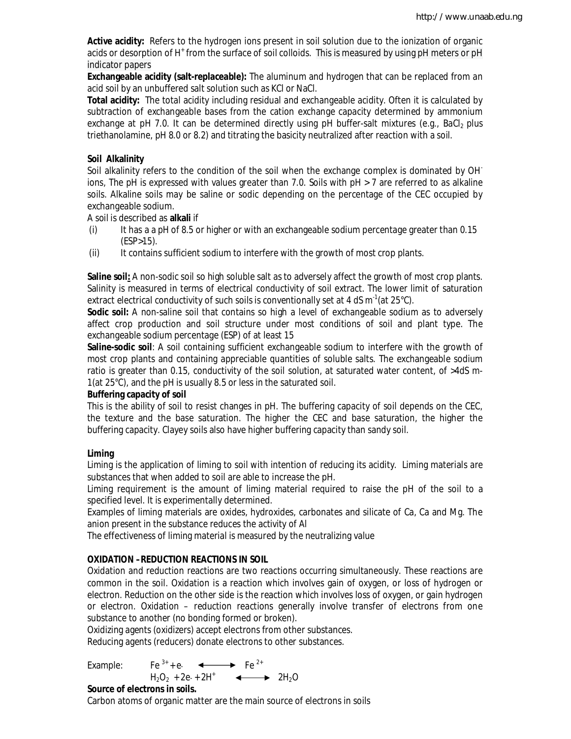**Active acidity:** Refers to the hydrogen ions present in soil solution due to the ionization of organic acids or desorption of H<sup>+</sup> from the surface of soil colloids. This is measured by using pH meters or pH indicator papers

**Exchangeable acidity (salt-replaceable):** The aluminum and hydrogen that can be replaced from an acid soil by an unbuffered salt solution such as KCl or NaCl.

**Total acidity:** The total acidity including residual and exchangeable acidity. Often it is calculated by subtraction of exchangeable bases from the cation exchange capacity determined by ammonium exchange at pH 7.0. It can be determined directly using pH buffer-salt mixtures (e.g., BaCl<sub>2</sub> plus triethanolamine, pH 8.0 or 8.2) and titrating the basicity neutralized after reaction with a soil.

## **Soil Alkalinity**

Soil alkalinity refers to the condition of the soil when the exchange complex is dominated by OH<sup>-</sup> ions, The pH is expressed with values greater than 7.0. Soils with pH > 7 are referred to as alkaline soils. Alkaline soils may be saline or sodic depending on the percentage of the CEC occupied by exchangeable sodium.

A soil is described as **alkali** if

- (i) It has a a pH of 8.5 or higher or with an exchangeable sodium percentage greater than 0.15 (ESP>15).
- (ii) It contains sufficient sodium to interfere with the growth of most crop plants.

**Saline soil:** A non-sodic soil so high soluble salt as to adversely affect the growth of most crop plants. Salinity is measured in terms of electrical conductivity of soil extract. The lower limit of saturation extract electrical conductivity of such soils is conventionally set at 4 dS  $\text{m}^{\text{-1}}$ (at 25°C).

**Sodic soil:** A non-saline soil that contains so high a level of exchangeable sodium as to adversely affect crop production and soil structure under most conditions of soil and plant type. The exchangeable sodium percentage (ESP) of at least 15

**Saline-sodic soil***:* A soil containing sufficient exchangeable sodium to interfere with the growth of most crop plants and containing appreciable quantities of soluble salts. The exchangeable sodium ratio is greater than 0.15, conductivity of the soil solution, at saturated water content, of >4dS m-1(at 25°C), and the pH is usually 8.5 or less in the saturated soil.

## **Buffering capacity of soil**

This is the ability of soil to resist changes in pH. The buffering capacity of soil depends on the CEC, the texture and the base saturation. The higher the CEC and base saturation, the higher the buffering capacity. Clayey soils also have higher buffering capacity than sandy soil.

## **Liming**

Liming is the application of liming to soil with intention of reducing its acidity. Liming materials are substances that when added to soil are able to increase the pH.

Liming requirement is the amount of liming material required to raise the pH of the soil to a specified level. It is experimentally determined.

Examples of liming materials are oxides, hydroxides, carbonates and silicate of Ca, Ca and Mg. The anion present in the substance reduces the activity of Al

The effectiveness of liming material is measured by the neutralizing value

## **OXIDATION –REDUCTION REACTIONS IN SOIL**

Oxidation and reduction reactions are two reactions occurring simultaneously. These reactions are common in the soil. Oxidation is a reaction which involves gain of oxygen, or loss of hydrogen or electron. Reduction on the other side is the reaction which involves loss of oxygen, or gain hydrogen or electron. Oxidation – reduction reactions generally involve transfer of electrons from one substance to another (no bonding formed or broken).

Oxidizing agents (oxidizers) accept electrons from other substances. Reducing agents (reducers) donate electrons to other substances.

Example: Fe<sup>3+</sup> + e- $\leftarrow$  Fe<sup>2+</sup>  $H_2O_2 + 2e + 2H^+$   $\longleftrightarrow$   $2H_2O$ 

## **Source of electrons in soils.**

Carbon atoms of organic matter are the main source of electrons in soils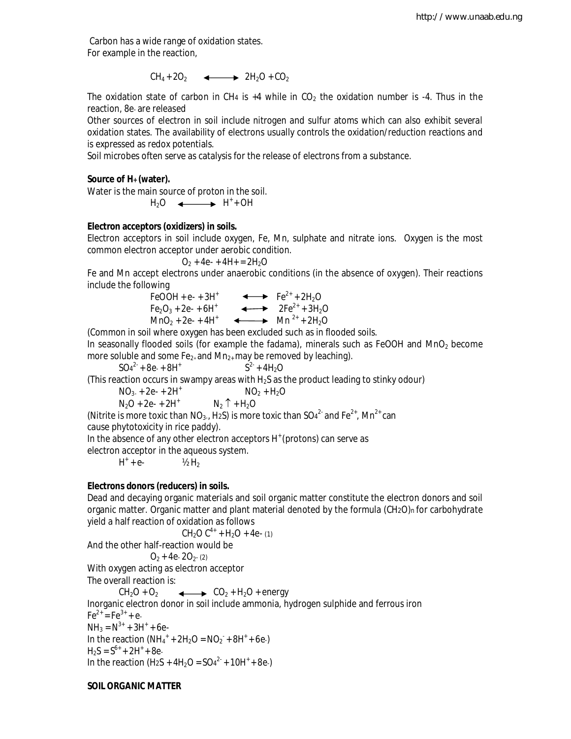Carbon has a wide range of oxidation states. For example in the reaction,

 $CH_4 + 2O_2$   $\longleftrightarrow$   $2H_2O + CO_2$ 

The oxidation state of carbon in CH<sub>4</sub> is  $+4$  while in CO<sub>2</sub> the oxidation number is  $-4$ . Thus in the reaction, 8e- are released

Other sources of electron in soil include nitrogen and sulfur atoms which can also exhibit several oxidation states. The availability of electrons usually controls the oxidation/reduction reactions and is expressed as redox potentials.

Soil microbes often serve as catalysis for the release of electrons from a substance.

## **Source of H+ (water).**

Water is the main source of proton in the soil.

 $H_2O \longleftrightarrow H^+ + OH$ 

## **Electron acceptors (oxidizers) in soils.**

Electron acceptors in soil include oxygen, Fe, Mn, sulphate and nitrate ions. Oxygen is the most common electron acceptor under aerobic condition.

 $O_2$  + 4e- + 4H+ = 2H<sub>2</sub>O

Fe and Mn accept electrons under anaerobic conditions (in the absence of oxygen). Their reactions include the following

> FeOOH + e- + 3H<sup>+</sup>  $\longleftrightarrow$  Fe<sup>2+</sup> + 2H<sub>2</sub>O  $Fe<sub>2</sub>O<sub>3</sub> + 2e<sup>2</sup> + 6H<sup>+</sup>$   $\longleftrightarrow$   $2Fe<sup>2+</sup> + 3H<sub>2</sub>O$  $MnO_2 + 2e^- + 4H^+$   $\longrightarrow$   $Mn^{2+} + 2H_2O$

(Common in soil where oxygen has been excluded such as in flooded soils.

In seasonally flooded soils (for example the fadama), minerals such as FeOOH and MnO<sub>2</sub> become more soluble and some  $Fe<sub>2+</sub>$  and  $Mn<sub>2+</sub>$  may be removed by leaching).

 $SO_4^2$  + 8e + 8H<sup>+</sup> S  $2 + 4H_2O$ 

(This reaction occurs in swampy areas with  $H_2S$  as the product leading to stinky odour)

 $NO<sub>3</sub> + 2e<sup>2</sup> + 2H<sup>+</sup>$   $NO<sub>2</sub> + H<sub>2</sub>O$  $N_2O + 2e^- + 2H^+$   $N_2 \uparrow + H_2O$ 

(Nitrite is more toxic than NO<sub>3</sub>., H2S) is more toxic than SO4<sup>2-</sup> and Fe<sup>2+</sup>, Mn<sup>2+</sup> can

cause phytotoxicity in rice paddy).

In the absence of any other electron acceptors H<sup>+</sup> (protons) can serve as

electron acceptor in the aqueous system.

 $H^*$  $\frac{1}{2}$  H<sub>2</sub>

## **Electrons donors (reducers) in soils.**

Dead and decaying organic materials and soil organic matter constitute the electron donors and soil organic matter. Organic matter and plant material denoted by the formula (CH2O)n for carbohydrate yield a half reaction of oxidation as follows

 $CH<sub>2</sub>O C<sup>4+</sup> + H<sub>2</sub>O + 4e- (1)$ 

And the other half-reaction would be

 $O<sub>2</sub> + 4e- 2O<sub>2</sub> (2)$ 

With oxygen acting as electron acceptor The overall reaction is:

 $CH_2O + O_2$   $\longleftrightarrow$   $CO_2 + H_2O + energy$ Inorganic electron donor in soil include ammonia, hydrogen sulphide and ferrous iron  $Fe^{2+} = Fe^{3+} + e^{-}$  $NH_3 = N^{3+} + 3H^+ + 6e$ In the reaction  $(NH_4^+ + 2H_2O = NO_2^- + 8H^+ + 6e)$  $H_2S = S^{6+} + 2H^+ + 8e$ In the reaction (H<sub>2</sub>S + 4H<sub>2</sub>O =  $SO_4^2$  + 10H<sup>+</sup> + 8e)

## **SOIL ORGANIC MATTER**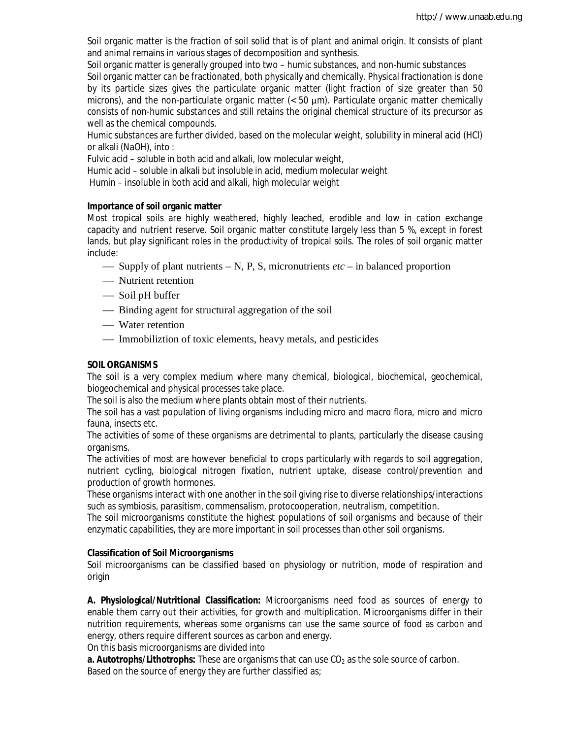Soil organic matter is the fraction of soil solid that is of plant and animal origin. It consists of plant and animal remains in various stages of decomposition and synthesis.

Soil organic matter is generally grouped into two – humic substances, and non-humic substances Soil organic matter can be fractionated, both physically and chemically. Physical fractionation is done by its particle sizes gives the particulate organic matter (light fraction of size greater than 50 microns), and the non-particulate organic matter  $(< 50 \mu m)$ . Particulate organic matter chemically consists of non-humic substances and still retains the original chemical structure of its precursor as well as the chemical compounds.

Humic substances are further divided, based on the molecular weight, solubility in mineral acid (HCl) or alkali (NaOH), into :

Fulvic acid – soluble in both acid and alkali, low molecular weight,

Humic acid – soluble in alkali but insoluble in acid, medium molecular weight

Humin – insoluble in both acid and alkali, high molecular weight

#### **Importance of soil organic matter**

Most tropical soils are highly weathered, highly leached, erodible and low in cation exchange capacity and nutrient reserve. Soil organic matter constitute largely less than 5 %, except in forest lands, but play significant roles in the productivity of tropical soils. The roles of soil organic matter include:

- $\sim$  Supply of plant nutrients N, P, S, micronutrients *etc* in balanced proportion
- Nutrient retention
- Soil pH buffer
- Binding agent for structural aggregation of the soil
- Water retention
- Immobiliztion of toxic elements, heavy metals, and pesticides

## **SOIL ORGANISMS**

The soil is a very complex medium where many chemical, biological, biochemical, geochemical, biogeochemical and physical processes take place.

The soil is also the medium where plants obtain most of their nutrients.

The soil has a vast population of living organisms including micro and macro flora, micro and micro fauna, insects etc.

The activities of some of these organisms are detrimental to plants, particularly the disease causing organisms.

The activities of most are however beneficial to crops particularly with regards to soil aggregation, nutrient cycling, biological nitrogen fixation, nutrient uptake, disease control/prevention and production of growth hormones.

These organisms interact with one another in the soil giving rise to diverse relationships/interactions such as symbiosis, parasitism, commensalism, protocooperation, neutralism, competition.

The soil microorganisms constitute the highest populations of soil organisms and because of their enzymatic capabilities, they are more important in soil processes than other soil organisms.

#### **Classification of Soil Microorganisms**

Soil microorganisms can be classified based on physiology or nutrition, mode of respiration and origin

**A. Physiological/Nutritional Classification:** Microorganisms need food as sources of energy to enable them carry out their activities, for growth and multiplication. Microorganisms differ in their nutrition requirements, whereas some organisms can use the same source of food as carbon and energy, others require different sources as carbon and energy.

On this basis microorganisms are divided into

**a. Autotrophs/Lithotrophs:** These are organisms that can use CO<sub>2</sub> as the sole source of carbon. Based on the source of energy they are further classified as;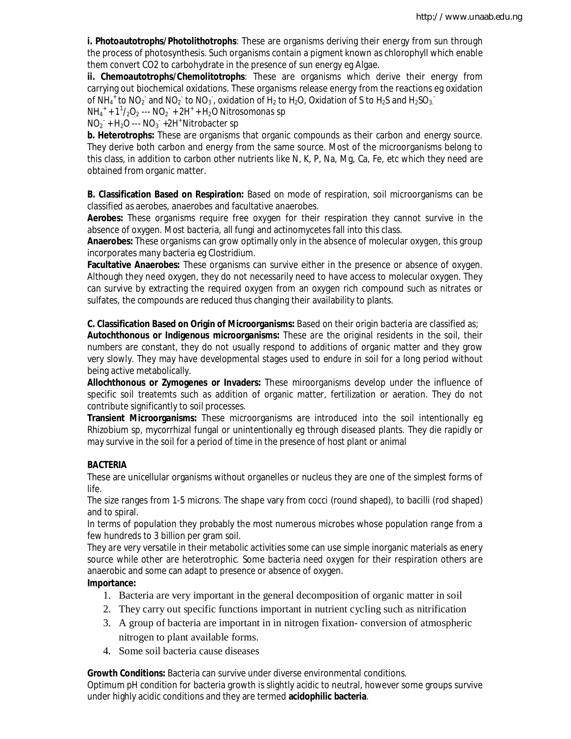**i. Photoautotrophs/Photolithotrophs**: These are organisms deriving their energy from sun through the process of photosynthesis. Such organisms contain a pigment known as chlorophyll which enable them convert CO2 to carbohydrate in the presence of sun energy eg Algae.

**ii. Chemoautotrophs/Chemolitotrophs**: These are organisms which derive their energy from carrying out biochemical oxidations. These organisms release energy from the reactions eg oxidation of NH<sub>4</sub><sup>+</sup> to NO<sub>2</sub><sup>-</sup> and NO<sub>2</sub><sup>-</sup> to NO<sub>3</sub><sup>-</sup>, oxidation of H<sub>2</sub> to H<sub>2</sub>O, Oxidation of S to H<sub>2</sub>S and H<sub>2</sub>SO<sub>3</sub><sup>-</sup>

NH<sup>4</sup> + + 1<sup>1</sup> /2O<sup>2</sup> --- NO<sup>2</sup> - + 2H<sup>+</sup> + H2O *Nitrosomonas sp*

NO<sup>2</sup> - + H2O --- NO<sup>3</sup> - +2H<sup>+</sup>*Nitrobacter sp*

**b. Heterotrophs:** These are organisms that organic compounds as their carbon and energy source. They derive both carbon and energy from the same source. Most of the microorganisms belong to this class, in addition to carbon other nutrients like N, K, P, Na, Mg, Ca, Fe, etc which they need are obtained from organic matter.

**B. Classification Based on Respiration:** Based on mode of respiration, soil microorganisms can be classified as aerobes, anaerobes and facultative anaerobes.

**Aerobes:** These organisms require free oxygen for their respiration they cannot survive in the absence of oxygen. Most bacteria, all fungi and actinomycetes fall into this class.

**Anaerobes:** These organisms can grow optimally only in the absence of molecular oxygen, this group incorporates many bacteria eg *Clostridium*.

**Facultative Anaerobes:** These organisms can survive either in the presence or absence of oxygen. Although they need oxygen, they do not necessarily need to have access to molecular oxygen. They can survive by extracting the required oxygen from an oxygen rich compound such as nitrates or sulfates, the compounds are reduced thus changing their availability to plants.

**C. Classification Based on Origin of Microorganisms:** Based on their origin bacteria are classified as; **Autochthonous or Indigenous microorganisms:** These are the original residents in the soil, their numbers are constant, they do not usually respond to additions of organic matter and they grow very slowly. They may have developmental stages used to endure in soil for a long period without being active metabolically.

**Allochthonous or Zymogenes or Invaders:** These miroorganisms develop under the influence of specific soil treatemts such as addition of organic matter, fertilization or aeration. They do not contribute significantly to soil processes.

**Transient Microorganisms:** These microorganisms are introduced into the soil intentionally eg Rhizobium sp, mycorrhizal fungal or unintentionally eg through diseased plants. They die rapidly or may survive in the soil for a period of time in the presence of host plant or animal

## **BACTERIA**

These are unicellular organisms without organelles or nucleus they are one of the simplest forms of life.

The size ranges from 1-5 microns. The shape vary from cocci (round shaped), to bacilli (rod shaped) and to spiral.

In terms of population they probably the most numerous microbes whose population range from a few hundreds to 3 billion per gram soil.

They are very versatile in their metabolic activities some can use simple inorganic materials as enery source while other are heterotrophic. Some bacteria need oxygen for their respiration others are anaerobic and some can adapt to presence or absence of oxygen.

## **Importance:**

- 1. Bacteria are very important in the general decomposition of organic matter in soil
- 2. They carry out specific functions important in nutrient cycling such as nitrification
- 3. A group of bacteria are important in in nitrogen fixation- conversion of atmospheric nitrogen to plant available forms.
- 4. Some soil bacteria cause diseases

**Growth Conditions:** Bacteria can survive under diverse environmental conditions.

Optimum pH condition for bacteria growth is slightly acidic to neutral, however some groups survive under highly acidic conditions and they are termed **acidophilic bacteria**.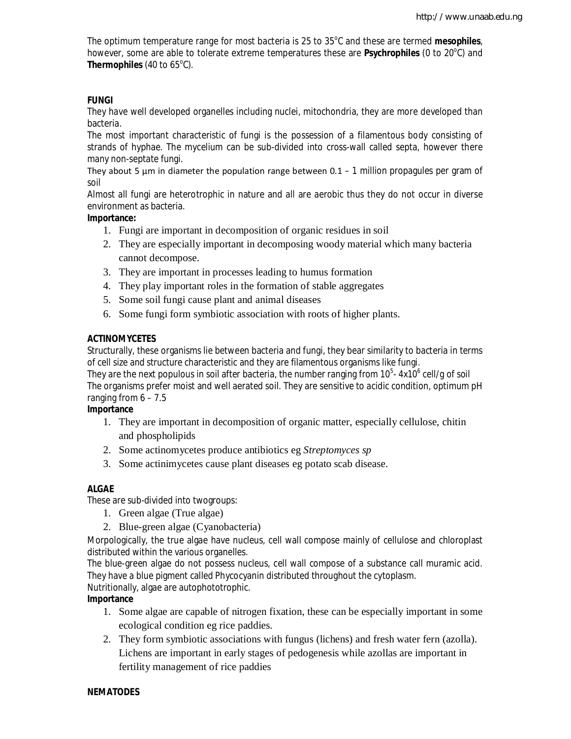The optimum temperature range for most bacteria is 25 to 35°C and these are termed mesophiles, however, some are able to tolerate extreme temperatures these are Psychrophiles (0 to 20°C) and **Thermophiles** (40 to 65°C).

## **FUNGI**

They have well developed organelles including nuclei, mitochondria, they are more developed than bacteria.

The most important characteristic of fungi is the possession of a filamentous body consisting of strands of hyphae. The mycelium can be sub-divided into cross-wall called septa, however there many non-septate fungi.

They about 5  $\mu$ m in diameter the population range between 0.1 – 1 million propagules per gram of soil

Almost all fungi are heterotrophic in nature and all are aerobic thus they do not occur in diverse environment as bacteria.

## **Importance:**

- 1. Fungi are important in decomposition of organic residues in soil
- 2. They are especially important in decomposing woody material which many bacteria cannot decompose.
- 3. They are important in processes leading to humus formation
- 4. They play important roles in the formation of stable aggregates
- 5. Some soil fungi cause plant and animal diseases
- 6. Some fungi form symbiotic association with roots of higher plants.

## **ACTINOMYCETES**

Structurally, these organisms lie between bacteria and fungi, they bear similarity to bacteria in terms of cell size and structure characteristic and they are filamentous organisms like fungi.

They are the next populous in soil after bacteria, the number ranging from 10 $^5$ - 4x10 $^6$  cell/g of soil The organisms prefer moist and well aerated soil. They are sensitive to acidic condition, optimum pH ranging from  $6 - 7.5$ 

## **Importance**

- 1. They are important in decomposition of organic matter, especially cellulose, chitin and phospholipids
- 2. Some actinomycetes produce antibiotics eg *Streptomyces sp*
- 3. Some actinimycetes cause plant diseases eg potato scab disease.

## **ALGAE**

These are sub-divided into twogroups:

- 1. Green algae (True algae)
- 2. Blue-green algae (Cyanobacteria)

Morpologically, the true algae have nucleus, cell wall compose mainly of cellulose and chloroplast distributed within the various organelles.

The blue-green algae do not possess nucleus, cell wall compose of a substance call muramic acid. They have a blue pigment called Phycocyanin distributed throughout the cytoplasm.

Nutritionally, algae are autophototrophic.

## **Importance**

- 1. Some algae are capable of nitrogen fixation, these can be especially important in some ecological condition eg rice paddies.
- 2. They form symbiotic associations with fungus (lichens) and fresh water fern (azolla). Lichens are important in early stages of pedogenesis while azollas are important in fertility management of rice paddies

## **NEMATODES**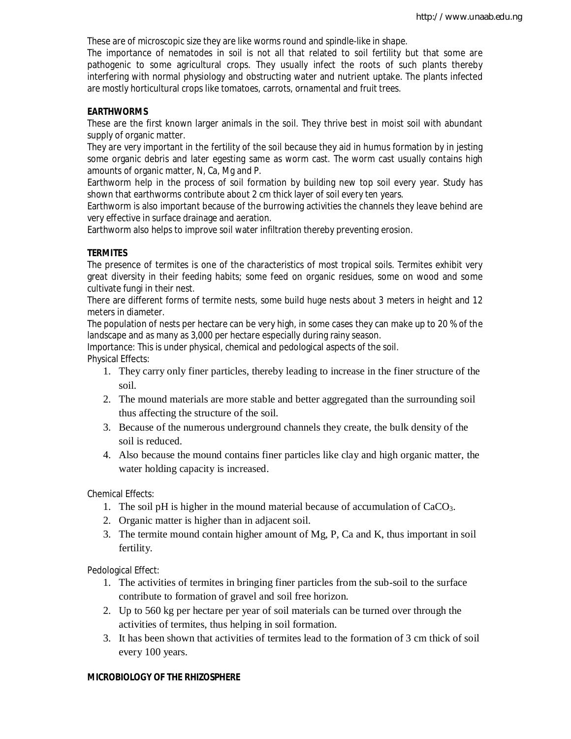These are of microscopic size they are like worms round and spindle-like in shape.

The importance of nematodes in soil is not all that related to soil fertility but that some are pathogenic to some agricultural crops. They usually infect the roots of such plants thereby interfering with normal physiology and obstructing water and nutrient uptake. The plants infected are mostly horticultural crops like tomatoes, carrots, ornamental and fruit trees.

#### **EARTHWORMS**

These are the first known larger animals in the soil. They thrive best in moist soil with abundant supply of organic matter.

They are very important in the fertility of the soil because they aid in humus formation by in jesting some organic debris and later egesting same as worm cast. The worm cast usually contains high amounts of organic matter, N, Ca, Mg and P.

Earthworm help in the process of soil formation by building new top soil every year. Study has shown that earthworms contribute about 2 cm thick layer of soil every ten years.

Earthworm is also important because of the burrowing activities the channels they leave behind are very effective in surface drainage and aeration.

Earthworm also helps to improve soil water infiltration thereby preventing erosion.

#### **TERMITES**

The presence of termites is one of the characteristics of most tropical soils. Termites exhibit very great diversity in their feeding habits; some feed on organic residues, some on wood and some cultivate fungi in their nest.

There are different forms of termite nests, some build huge nests about 3 meters in height and 12 meters in diameter.

The population of nests per hectare can be very high, in some cases they can make up to 20 % of the landscape and as many as 3,000 per hectare especially during rainy season.

Importance: This is under physical, chemical and pedological aspects of the soil. Physical Effects:

- 1. They carry only finer particles, thereby leading to increase in the finer structure of the soil.
- 2. The mound materials are more stable and better aggregated than the surrounding soil thus affecting the structure of the soil.
- 3. Because of the numerous underground channels they create, the bulk density of the soil is reduced.
- 4. Also because the mound contains finer particles like clay and high organic matter, the water holding capacity is increased.

Chemical Effects:

- 1. The soil pH is higher in the mound material because of accumulation of CaCO3.
- 2. Organic matter is higher than in adjacent soil.
- 3. The termite mound contain higher amount of Mg, P, Ca and K, thus important in soil fertility.

Pedological Effect:

- 1. The activities of termites in bringing finer particles from the sub-soil to the surface contribute to formation of gravel and soil free horizon.
- 2. Up to 560 kg per hectare per year of soil materials can be turned over through the activities of termites, thus helping in soil formation.
- 3. It has been shown that activities of termites lead to the formation of 3 cm thick of soil every 100 years.

#### **MICROBIOLOGY OF THE RHIZOSPHERE**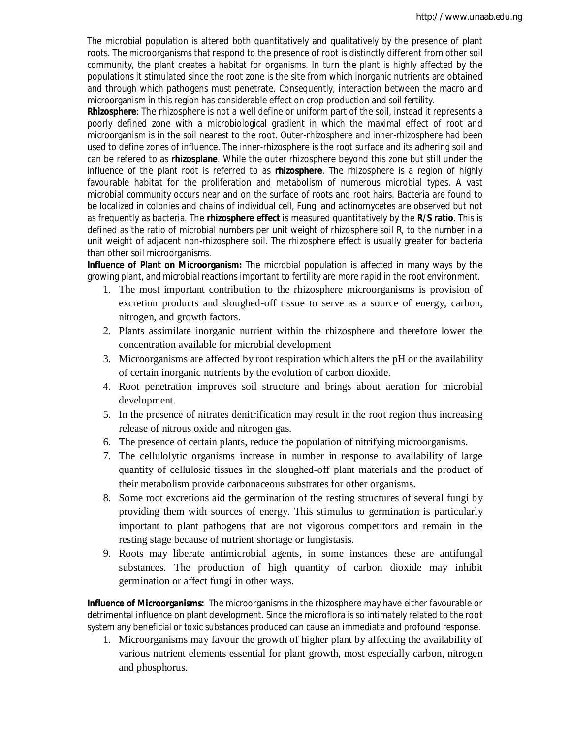The microbial population is altered both quantitatively and qualitatively by the presence of plant roots. The microorganisms that respond to the presence of root is distinctly different from other soil community, the plant creates a habitat for organisms. In turn the plant is highly affected by the populations it stimulated since the root zone is the site from which inorganic nutrients are obtained and through which pathogens must penetrate. Consequently, interaction between the macro and microorganism in this region has considerable effect on crop production and soil fertility.

**Rhizosphere**: The rhizosphere is not a well define or uniform part of the soil, instead it represents a poorly defined zone with a microbiological gradient in which the maximal effect of root and microorganism is in the soil nearest to the root. Outer-rhizosphere and inner-rhizosphere had been used to define zones of influence. The inner-rhizosphere is the root surface and its adhering soil and can be refered to as **rhizosplane**. While the outer rhizosphere beyond this zone but still under the influence of the plant root is referred to as **rhizosphere**. The rhizosphere is a region of highly favourable habitat for the proliferation and metabolism of numerous microbial types. A vast microbial community occurs near and on the surface of roots and root hairs. Bacteria are found to be localized in colonies and chains of individual cell, Fungi and actinomycetes are observed but not as frequently as bacteria. The **rhizosphere effect** is measured quantitatively by the **R/S ratio**. This is defined as the ratio of microbial numbers per unit weight of rhizosphere soil R, to the number in a unit weight of adjacent non-rhizosphere soil. The rhizosphere effect is usually greater for bacteria than other soil microorganisms.

**Influence of Plant on Microorganism:** The microbial population is affected in many ways by the growing plant, and microbial reactions important to fertility are more rapid in the root environment.

- 1. The most important contribution to the rhizosphere microorganisms is provision of excretion products and sloughed-off tissue to serve as a source of energy, carbon, nitrogen, and growth factors.
- 2. Plants assimilate inorganic nutrient within the rhizosphere and therefore lower the concentration available for microbial development
- 3. Microorganisms are affected by root respiration which alters the pH or the availability of certain inorganic nutrients by the evolution of carbon dioxide.
- 4. Root penetration improves soil structure and brings about aeration for microbial development.
- 5. In the presence of nitrates denitrification may result in the root region thus increasing release of nitrous oxide and nitrogen gas.
- 6. The presence of certain plants, reduce the population of nitrifying microorganisms.
- 7. The cellulolytic organisms increase in number in response to availability of large quantity of cellulosic tissues in the sloughed-off plant materials and the product of their metabolism provide carbonaceous substrates for other organisms.
- 8. Some root excretions aid the germination of the resting structures of several fungi by providing them with sources of energy. This stimulus to germination is particularly important to plant pathogens that are not vigorous competitors and remain in the resting stage because of nutrient shortage or fungistasis.
- 9. Roots may liberate antimicrobial agents, in some instances these are antifungal substances. The production of high quantity of carbon dioxide may inhibit germination or affect fungi in other ways.

**Influence of Microorganisms:** The microorganisms in the rhizosphere may have either favourable or detrimental influence on plant development. Since the microflora is so intimately related to the root system any beneficial or toxic substances produced can cause an immediate and profound response.

1. Microorganisms may favour the growth of higher plant by affecting the availability of various nutrient elements essential for plant growth, most especially carbon, nitrogen and phosphorus.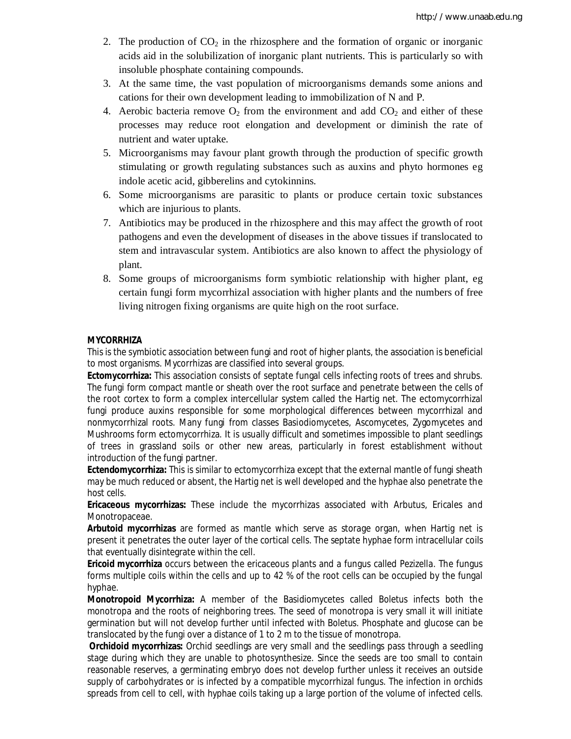- 2. The production of  $CO<sub>2</sub>$  in the rhizosphere and the formation of organic or inorganic acids aid in the solubilization of inorganic plant nutrients. This is particularly so with insoluble phosphate containing compounds.
- 3. At the same time, the vast population of microorganisms demands some anions and cations for their own development leading to immobilization of N and P.
- 4. Aerobic bacteria remove  $O_2$  from the environment and add  $CO_2$  and either of these processes may reduce root elongation and development or diminish the rate of nutrient and water uptake.
- 5. Microorganisms may favour plant growth through the production of specific growth stimulating or growth regulating substances such as auxins and phyto hormones eg indole acetic acid, gibberelins and cytokinnins.
- 6. Some microorganisms are parasitic to plants or produce certain toxic substances which are injurious to plants.
- 7. Antibiotics may be produced in the rhizosphere and this may affect the growth of root pathogens and even the development of diseases in the above tissues if translocated to stem and intravascular system. Antibiotics are also known to affect the physiology of plant.
- 8. Some groups of microorganisms form symbiotic relationship with higher plant, eg certain fungi form mycorrhizal association with higher plants and the numbers of free living nitrogen fixing organisms are quite high on the root surface.

#### **MYCORRHIZA**

This is the symbiotic association between fungi and root of higher plants, the association is beneficial to most organisms. Mycorrhizas are classified into several groups.

**Ectomycorrhiza:** This association consists of septate fungal cells infecting roots of trees and shrubs. The fungi form compact mantle or sheath over the root surface and penetrate between the cells of the root cortex to form a complex intercellular system called the Hartig net. The ectomycorrhizal fungi produce auxins responsible for some morphological differences between mycorrhizal and nonmycorrhizal roots. Many fungi from classes Basiodiomycetes, Ascomycetes, Zygomycetes and Mushrooms form ectomycorrhiza. It is usually difficult and sometimes impossible to plant seedlings of trees in grassland soils or other new areas, particularly in forest establishment without introduction of the fungi partner.

**Ectendomycorrhiza:** This is similar to ectomycorrhiza except that the external mantle of fungi sheath may be much reduced or absent, the Hartig net is well developed and the hyphae also penetrate the host cells.

**Ericaceous mycorrhizas:** These include the mycorrhizas associated with Arbutus, Ericales and Monotropaceae.

**Arbutoid mycorrhizas** are formed as mantle which serve as storage organ, when Hartig net is present it penetrates the outer layer of the cortical cells. The septate hyphae form intracellular coils that eventually disintegrate within the cell.

**Ericoid mycorrhiza** occurs between the ericaceous plants and a fungus called *Pezizella*. The fungus forms multiple coils within the cells and up to 42 % of the root cells can be occupied by the fungal hyphae.

**Monotropoid Mycorrhiza:** A member of the Basidiomycetes called *Boletus* infects both the monotropa and the roots of neighboring trees. The seed of monotropa is very small it will initiate germination but will not develop further until infected with *Boletus*. Phosphate and glucose can be translocated by the fungi over a distance of 1 to 2 m to the tissue of monotropa.

**Orchidoid mycorrhizas:** Orchid seedlings are very small and the seedlings pass through a seedling stage during which they are unable to photosynthesize. Since the seeds are too small to contain reasonable reserves, a germinating embryo does not develop further unless it receives an outside supply of carbohydrates or is infected by a compatible mycorrhizal fungus. The infection in orchids spreads from cell to cell, with hyphae coils taking up a large portion of the volume of infected cells.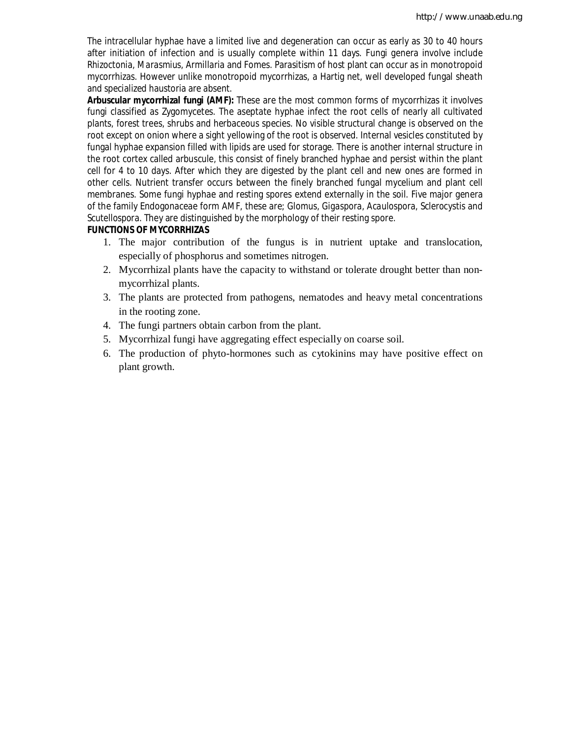The intracellular hyphae have a limited live and degeneration can occur as early as 30 to 40 hours after initiation of infection and is usually complete within 11 days. Fungi genera involve include *Rhizoctonia, Marasmius, Armillaria* and Fomes. Parasitism of host plant can occur as in monotropoid mycorrhizas. However unlike monotropoid mycorrhizas, a Hartig net, well developed fungal sheath and specialized haustoria are absent.

**Arbuscular mycorrhizal fungi (AMF):** These are the most common forms of mycorrhizas it involves fungi classified as Zygomycetes. The aseptate hyphae infect the root cells of nearly all cultivated plants, forest trees, shrubs and herbaceous species. No visible structural change is observed on the root except on onion where a sight yellowing of the root is observed. Internal vesicles constituted by fungal hyphae expansion filled with lipids are used for storage. There is another internal structure in the root cortex called arbuscule, this consist of finely branched hyphae and persist within the plant cell for 4 to 10 days. After which they are digested by the plant cell and new ones are formed in other cells. Nutrient transfer occurs between the finely branched fungal mycelium and plant cell membranes. Some fungi hyphae and resting spores extend externally in the soil. Five major genera of the family Endogonaceae form AMF, these are; *Glomus, Gigaspora, Acaulospora, Sclerocystis* and *Scutellospora*. They are distinguished by the morphology of their resting spore.

#### **FUNCTIONS OF MYCORRHIZAS**

- 1. The major contribution of the fungus is in nutrient uptake and translocation, especially of phosphorus and sometimes nitrogen.
- 2. Mycorrhizal plants have the capacity to withstand or tolerate drought better than nonmycorrhizal plants.
- 3. The plants are protected from pathogens, nematodes and heavy metal concentrations in the rooting zone.
- 4. The fungi partners obtain carbon from the plant.
- 5. Mycorrhizal fungi have aggregating effect especially on coarse soil.
- 6. The production of phyto-hormones such as cytokinins may have positive effect on plant growth.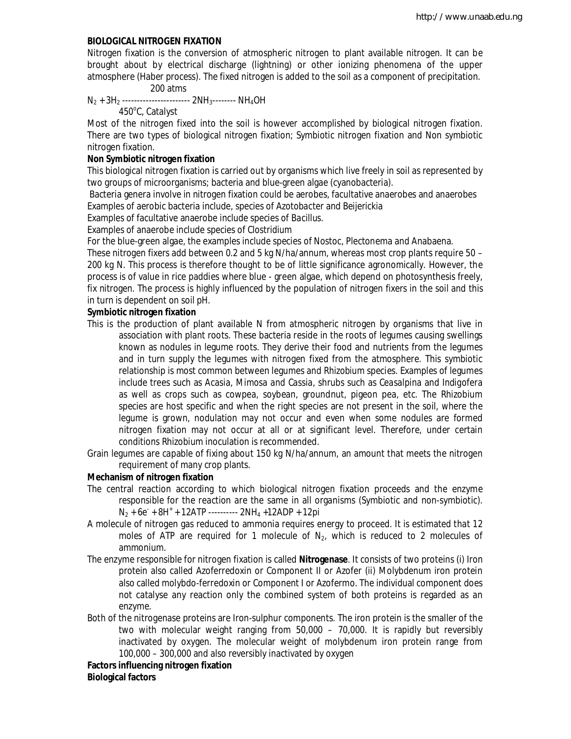#### **BIOLOGICAL NITROGEN FIXATION**

Nitrogen fixation is the conversion of atmospheric nitrogen to plant available nitrogen. It can be brought about by electrical discharge (lightning) or other ionizing phenomena of the upper atmosphere (Haber process). The fixed nitrogen is added to the soil as a component of precipitation.

#### 200 atms

 $N_2$  + 3H<sub>2</sub> -------------------------- 2NH<sub>3</sub>-------- NH<sub>4</sub>OH

450°C, Catalyst

Most of the nitrogen fixed into the soil is however accomplished by biological nitrogen fixation. There are two types of biological nitrogen fixation; Symbiotic nitrogen fixation and Non symbiotic nitrogen fixation.

#### **Non Symbiotic nitrogen fixation**

This biological nitrogen fixation is carried out by organisms which live freely in soil as represented by two groups of microorganisms; bacteria and blue-green algae (cyanobacteria).

Bacteria genera involve in nitrogen fixation could be aerobes, facultative anaerobes and anaerobes Examples of aerobic bacteria include, species of *Azotobacter* and *Beijerickia*

Examples of facultative anaerobe include species of *Bacillus.*

Examples of anaerobe include species of *Clostridium*

For the blue-green algae, the examples include species of Nostoc, Plectonema and Anabaena.

These nitrogen fixers add between 0.2 and 5 kg N/ha/annum, whereas most crop plants require 50 – 200 kg N. This process is therefore thought to be of little significance agronomically. However, the process is of value in rice paddies where blue - green algae, which depend on photosynthesis freely, fix nitrogen. The process is highly influenced by the population of nitrogen fixers in the soil and this in turn is dependent on soil pH.

#### **Symbiotic nitrogen fixation**

- This is the production of plant available N from atmospheric nitrogen by organisms that live in association with plant roots. These bacteria reside in the roots of legumes causing swellings known as nodules in legume roots. They derive their food and nutrients from the legumes and in turn supply the legumes with nitrogen fixed from the atmosphere. This symbiotic relationship is most common between legumes and *Rhizobium* species. Examples of legumes include trees such as *Acasia, Mimosa and Cassia,* shrubs such as *Ceasalpina* and *Indigofera* as well as crops such as cowpea, soybean, groundnut, pigeon pea, etc. The Rhizobium species are host specific and when the right species are not present in the soil, where the legume is grown, nodulation may not occur and even when some nodules are formed nitrogen fixation may not occur at all or at significant level. Therefore, under certain conditions Rhizobium inoculation is recommended.
- Grain legumes are capable of fixing about 150 kg N/ha/annum, an amount that meets the nitrogen requirement of many crop plants.

#### **Mechanism of nitrogen fixation**

- The central reaction according to which biological nitrogen fixation proceeds and the enzyme responsible for the reaction are the same in all organisms (Symbiotic and non-symbiotic).  $N_2$  + 6e<sup>-</sup> + 8H<sup>+</sup> + 12ATP ---------- 2NH<sub>4</sub> +12ADP + 12pi
- A molecule of nitrogen gas reduced to ammonia requires energy to proceed. It is estimated that 12 moles of ATP are required for 1 molecule of  $N<sub>2</sub>$ , which is reduced to 2 molecules of ammonium.
- The enzyme responsible for nitrogen fixation is called **Nitrogenase**. It consists of two proteins (i) Iron protein also called Azoferredoxin or Component II or Azofer (ii) Molybdenum iron protein also called molybdo-ferredoxin or Component I or Azofermo. The individual component does not catalyse any reaction only the combined system of both proteins is regarded as an enzyme.
- Both of the nitrogenase proteins are Iron-sulphur components. The iron protein is the smaller of the two with molecular weight ranging from 50,000 – 70,000. It is rapidly but reversibly inactivated by oxygen. The molecular weight of molybdenum iron protein range from 100,000 – 300,000 and also reversibly inactivated by oxygen

**Factors influencing nitrogen fixation Biological factors**